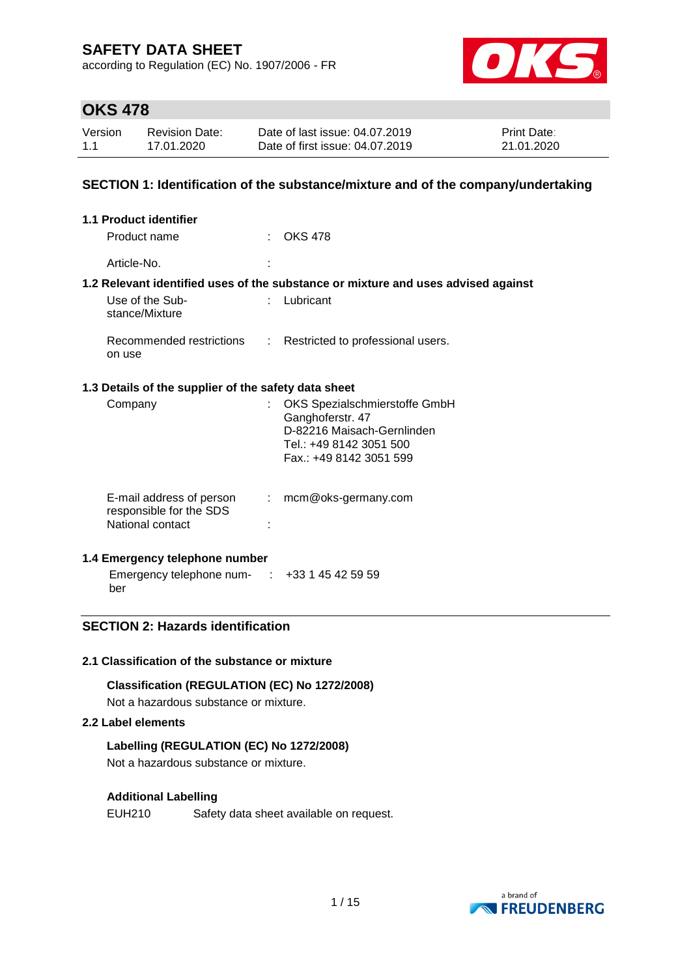according to Regulation (EC) No. 1907/2006 - FR



## **OKS 478**

| Version | Revision Date: | Date of last issue: 04.07.2019  | <b>Print Date:</b> |
|---------|----------------|---------------------------------|--------------------|
| 1.1     | 17.01.2020     | Date of first issue: 04.07.2019 | 21.01.2020         |

### **SECTION 1: Identification of the substance/mixture and of the company/undertaking**

| $\therefore$ OKS 478                                                                                                                    |
|-----------------------------------------------------------------------------------------------------------------------------------------|
|                                                                                                                                         |
| 1.2 Relevant identified uses of the substance or mixture and uses advised against                                                       |
| Lubricant                                                                                                                               |
| Recommended restrictions : Restricted to professional users.                                                                            |
| 1.3 Details of the supplier of the safety data sheet                                                                                    |
| : OKS Spezialschmierstoffe GmbH<br>Ganghoferstr. 47<br>D-82216 Maisach-Gernlinden<br>Tel.: +49 8142 3051 500<br>Fax.: +49 8142 3051 599 |
|                                                                                                                                         |

| E-mail address of person | mcm@oks-germany.com |
|--------------------------|---------------------|
| responsible for the SDS  |                     |
| National contact         |                     |
|                          |                     |

### **1.4 Emergency telephone number**

Emergency telephone num-: +33 1 45 42 59 59 ber

## **SECTION 2: Hazards identification**

#### **2.1 Classification of the substance or mixture**

#### **Classification (REGULATION (EC) No 1272/2008)**

Not a hazardous substance or mixture.

#### **2.2 Label elements**

#### **Labelling (REGULATION (EC) No 1272/2008)**

Not a hazardous substance or mixture.

#### **Additional Labelling**

EUH210 Safety data sheet available on request.

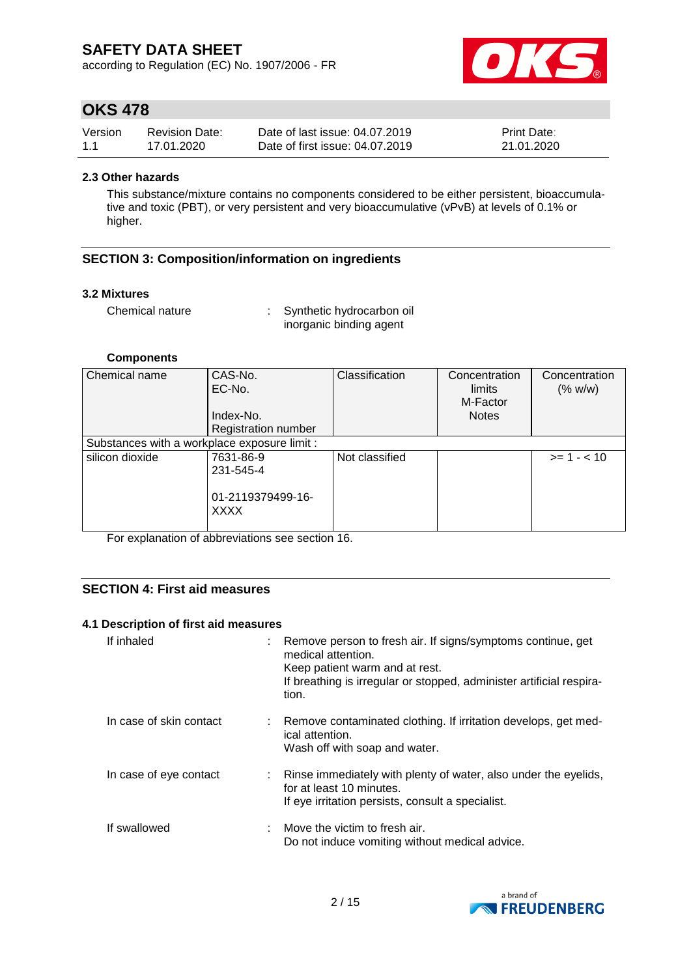according to Regulation (EC) No. 1907/2006 - FR



## **OKS 478**

| Version | <b>Revision Date:</b> | Date of last issue: 04.07.2019  | <b>Print Date:</b> |
|---------|-----------------------|---------------------------------|--------------------|
| 1.1     | 17.01.2020            | Date of first issue: 04.07.2019 | 21.01.2020         |

#### **2.3 Other hazards**

This substance/mixture contains no components considered to be either persistent, bioaccumulative and toxic (PBT), or very persistent and very bioaccumulative (vPvB) at levels of 0.1% or higher.

### **SECTION 3: Composition/information on ingredients**

#### **3.2 Mixtures**

Chemical nature : Synthetic hydrocarbon oil inorganic binding agent

#### **Components**

| Chemical name                                | CAS-No.<br>EC-No.<br>Index-No.   | Classification | Concentration<br>limits<br>M-Factor<br><b>Notes</b> | Concentration<br>(% w/w) |
|----------------------------------------------|----------------------------------|----------------|-----------------------------------------------------|--------------------------|
|                                              |                                  |                |                                                     |                          |
|                                              | <b>Registration number</b>       |                |                                                     |                          |
| Substances with a workplace exposure limit : |                                  |                |                                                     |                          |
| silicon dioxide                              | 7631-86-9                        | Not classified |                                                     | $>= 1 - < 10$            |
|                                              | 231-545-4                        |                |                                                     |                          |
|                                              | 01-2119379499-16-<br><b>XXXX</b> |                |                                                     |                          |

For explanation of abbreviations see section 16.

### **SECTION 4: First aid measures**

#### **4.1 Description of first aid measures**

| If inhaled              | : Remove person to fresh air. If signs/symptoms continue, get<br>medical attention.<br>Keep patient warm and at rest.<br>If breathing is irregular or stopped, administer artificial respira-<br>tion. |
|-------------------------|--------------------------------------------------------------------------------------------------------------------------------------------------------------------------------------------------------|
| In case of skin contact | : Remove contaminated clothing. If irritation develops, get med-<br>ical attention.<br>Wash off with soap and water.                                                                                   |
| In case of eye contact  | : Rinse immediately with plenty of water, also under the eyelids,<br>for at least 10 minutes.<br>If eye irritation persists, consult a specialist.                                                     |
| If swallowed            | $\therefore$ Move the victim to fresh air.<br>Do not induce vomiting without medical advice.                                                                                                           |

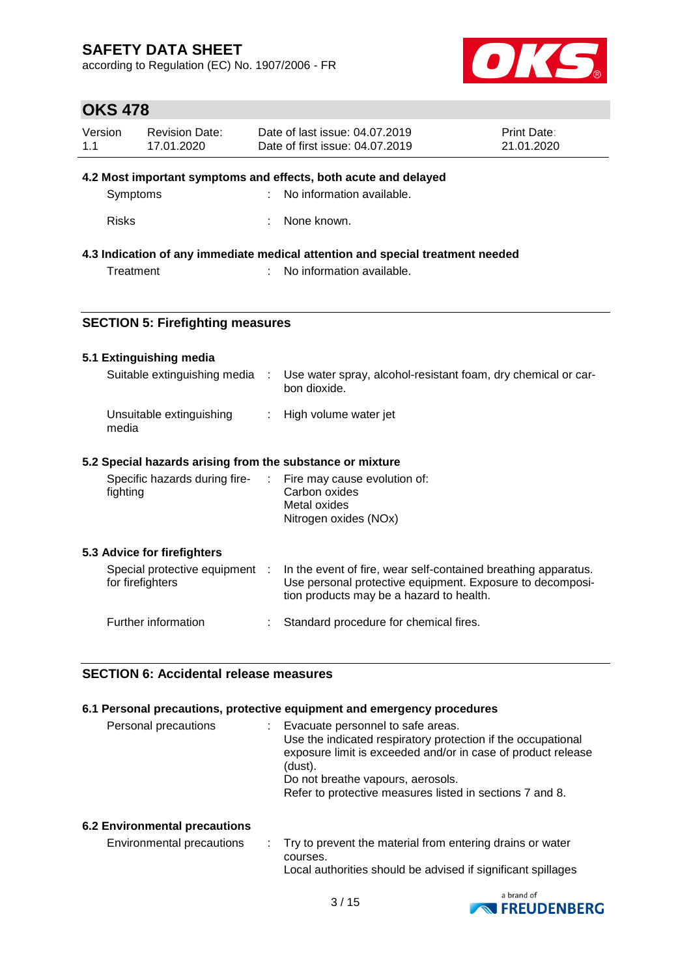according to Regulation (EC) No. 1907/2006 - FR



# **OKS 478**

| Version<br>1.1 | <b>Revision Date:</b><br>17.01.2020                |    | Date of last issue: 04.07.2019<br>Date of first issue: 04.07.2019                                                                                                       | <b>Print Date:</b><br>21.01.2020 |
|----------------|----------------------------------------------------|----|-------------------------------------------------------------------------------------------------------------------------------------------------------------------------|----------------------------------|
|                |                                                    |    | 4.2 Most important symptoms and effects, both acute and delayed                                                                                                         |                                  |
|                | Symptoms                                           |    | No information available.                                                                                                                                               |                                  |
| <b>Risks</b>   |                                                    |    | None known.                                                                                                                                                             |                                  |
|                |                                                    |    | 4.3 Indication of any immediate medical attention and special treatment needed                                                                                          |                                  |
|                | Treatment                                          |    | No information available.                                                                                                                                               |                                  |
|                | <b>SECTION 5: Firefighting measures</b>            |    |                                                                                                                                                                         |                                  |
|                | 5.1 Extinguishing media                            |    |                                                                                                                                                                         |                                  |
|                | Suitable extinguishing media                       |    | Use water spray, alcohol-resistant foam, dry chemical or car-<br>bon dioxide.                                                                                           |                                  |
| media          | Unsuitable extinguishing                           | ÷  | High volume water jet                                                                                                                                                   |                                  |
|                |                                                    |    | 5.2 Special hazards arising from the substance or mixture                                                                                                               |                                  |
| fighting       | Specific hazards during fire-                      | ÷. | Fire may cause evolution of:<br>Carbon oxides<br>Metal oxides<br>Nitrogen oxides (NOx)                                                                                  |                                  |
|                | 5.3 Advice for firefighters                        |    |                                                                                                                                                                         |                                  |
|                | Special protective equipment :<br>for firefighters |    | In the event of fire, wear self-contained breathing apparatus.<br>Use personal protective equipment. Exposure to decomposi-<br>tion products may be a hazard to health. |                                  |
|                | Further information                                |    | Standard procedure for chemical fires.                                                                                                                                  |                                  |

#### **SECTION 6: Accidental release measures**

#### **6.1 Personal precautions, protective equipment and emergency procedures**

| Personal precautions | Evacuate personnel to safe areas.<br>÷.<br>Use the indicated respiratory protection if the occupational<br>exposure limit is exceeded and/or in case of product release<br>(dust).<br>Do not breathe vapours, aerosols.<br>Refer to protective measures listed in sections 7 and 8. |
|----------------------|-------------------------------------------------------------------------------------------------------------------------------------------------------------------------------------------------------------------------------------------------------------------------------------|
|                      |                                                                                                                                                                                                                                                                                     |

#### **6.2 Environmental precautions**

| Environmental precautions | : Try to prevent the material from entering drains or water  |
|---------------------------|--------------------------------------------------------------|
|                           | courses.                                                     |
|                           | Local authorities should be advised if significant spillages |

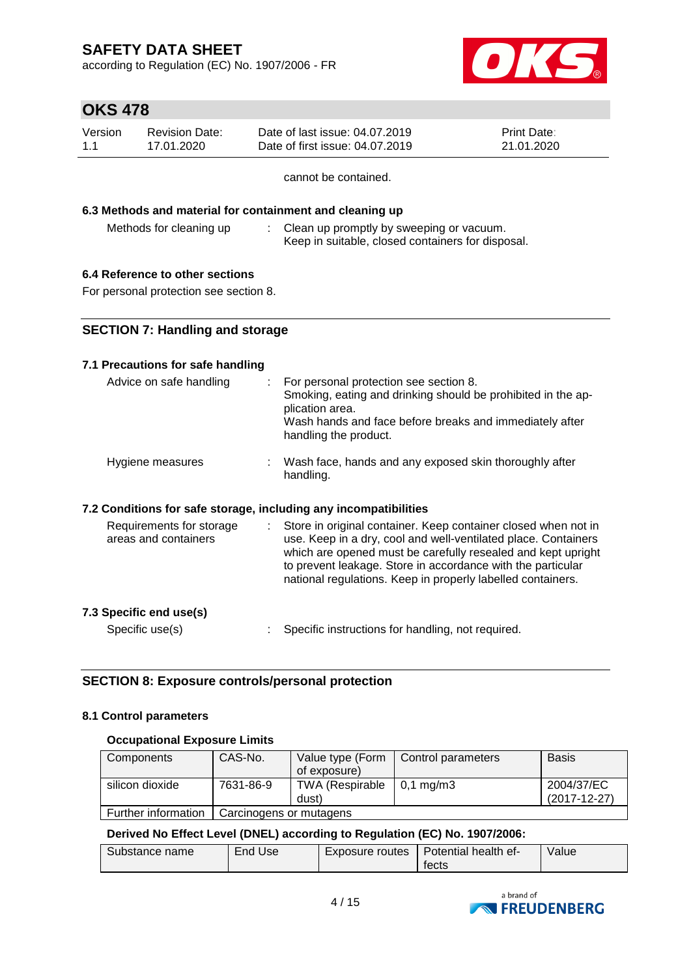according to Regulation (EC) No. 1907/2006 - FR



# **OKS 478**

| Version | Revision Date: | Date of last issue: 04.07.2019  | <b>Print Date:</b> |
|---------|----------------|---------------------------------|--------------------|
| 1.1     | 17.01.2020     | Date of first issue: 04.07.2019 | 21.01.2020         |

cannot be contained.

#### **6.3 Methods and material for containment and cleaning up**

Methods for cleaning up : Clean up promptly by sweeping or vacuum. Keep in suitable, closed containers for disposal.

## **6.4 Reference to other sections**

For personal protection see section 8.

### **SECTION 7: Handling and storage**

#### **7.1 Precautions for safe handling**

| Advice on safe handling<br>÷.                                    | For personal protection see section 8.<br>Smoking, eating and drinking should be prohibited in the ap-<br>plication area.<br>Wash hands and face before breaks and immediately after<br>handling the product.                                                                                                                  |
|------------------------------------------------------------------|--------------------------------------------------------------------------------------------------------------------------------------------------------------------------------------------------------------------------------------------------------------------------------------------------------------------------------|
| Hygiene measures                                                 | : Wash face, hands and any exposed skin thoroughly after<br>handling.                                                                                                                                                                                                                                                          |
| 7.2 Conditions for safe storage, including any incompatibilities |                                                                                                                                                                                                                                                                                                                                |
| Requirements for storage<br>areas and containers                 | Store in original container. Keep container closed when not in<br>use. Keep in a dry, cool and well-ventilated place. Containers<br>which are opened must be carefully resealed and kept upright<br>to prevent leakage. Store in accordance with the particular<br>national regulations. Keep in properly labelled containers. |

#### **7.3 Specific end use(s)**

Specific use(s) : Specific instructions for handling, not required.

### **SECTION 8: Exposure controls/personal protection**

#### **8.1 Control parameters**

#### **Occupational Exposure Limits**

| Components          | CAS-No.                 | Value type (Form<br>of exposure) | Control parameters   | <b>Basis</b>                     |
|---------------------|-------------------------|----------------------------------|----------------------|----------------------------------|
| silicon dioxide     | 7631-86-9               | TWA (Respirable<br>dust)         | $0.1 \text{ ma/m}$ 3 | 2004/37/EC<br>$(2017 - 12 - 27)$ |
| Further information | Carcinogens or mutagens |                                  |                      |                                  |

#### **Derived No Effect Level (DNEL) according to Regulation (EC) No. 1907/2006:**

| Substance name | End '<br>Use | Exposure routes | Potential health ef-<br>tects | Value |
|----------------|--------------|-----------------|-------------------------------|-------|
|----------------|--------------|-----------------|-------------------------------|-------|

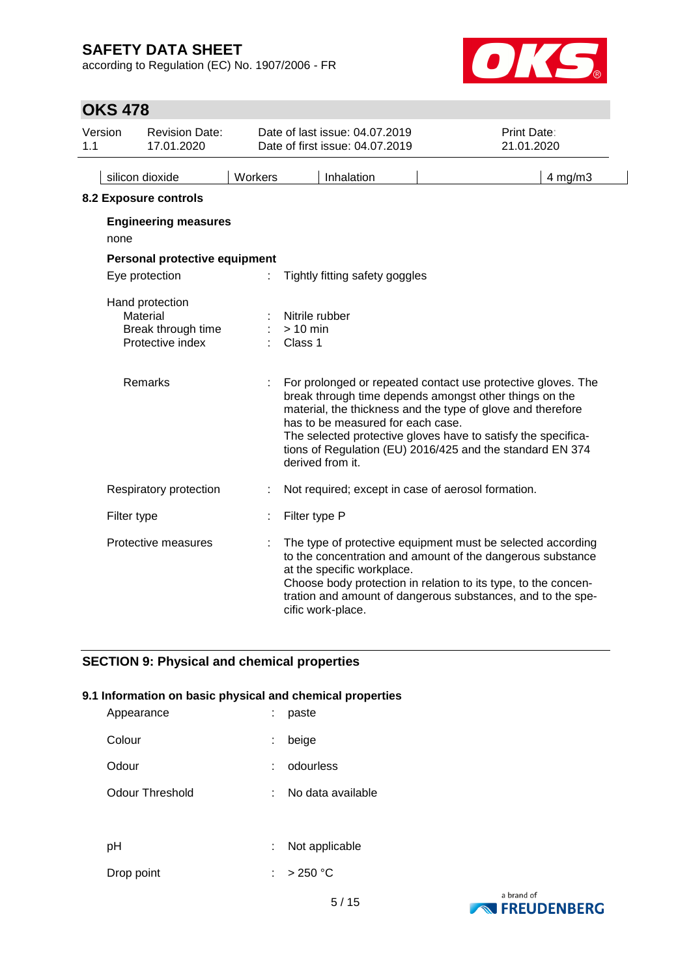according to Regulation (EC) No. 1907/2006 - FR



# **OKS 478**

| Version<br>1.1 | <b>Revision Date:</b><br>17.01.2020                                   |         | Date of last issue: 04.07.2019<br>Date of first issue: 04.07.2019 | Print Date:<br>21.01.2020                                                                                                                                                                                                                                                                                           |
|----------------|-----------------------------------------------------------------------|---------|-------------------------------------------------------------------|---------------------------------------------------------------------------------------------------------------------------------------------------------------------------------------------------------------------------------------------------------------------------------------------------------------------|
|                | silicon dioxide                                                       | Workers | Inhalation                                                        | $4$ mg/m $3$                                                                                                                                                                                                                                                                                                        |
|                | 8.2 Exposure controls                                                 |         |                                                                   |                                                                                                                                                                                                                                                                                                                     |
|                | <b>Engineering measures</b><br>none                                   |         |                                                                   |                                                                                                                                                                                                                                                                                                                     |
|                | Personal protective equipment                                         |         |                                                                   |                                                                                                                                                                                                                                                                                                                     |
|                | Eye protection                                                        |         | Tightly fitting safety goggles                                    |                                                                                                                                                                                                                                                                                                                     |
|                | Hand protection<br>Material<br>Break through time<br>Protective index |         | Nitrile rubber<br>$> 10$ min<br>Class 1                           |                                                                                                                                                                                                                                                                                                                     |
|                | Remarks                                                               |         | has to be measured for each case.<br>derived from it.             | For prolonged or repeated contact use protective gloves. The<br>break through time depends amongst other things on the<br>material, the thickness and the type of glove and therefore<br>The selected protective gloves have to satisfy the specifica-<br>tions of Regulation (EU) 2016/425 and the standard EN 374 |
|                | Respiratory protection                                                |         |                                                                   | Not required; except in case of aerosol formation.                                                                                                                                                                                                                                                                  |
|                | Filter type                                                           |         | Filter type P                                                     |                                                                                                                                                                                                                                                                                                                     |
|                | Protective measures                                                   |         | at the specific workplace.<br>cific work-place.                   | The type of protective equipment must be selected according<br>to the concentration and amount of the dangerous substance<br>Choose body protection in relation to its type, to the concen-<br>tration and amount of dangerous substances, and to the spe-                                                          |

## **SECTION 9: Physical and chemical properties**

#### **9.1 Information on basic physical and chemical properties**

| Appearance      |    | paste             |
|-----------------|----|-------------------|
| Colour          | t. | beige             |
| Odour           |    | odourless         |
| Odour Threshold | t. | No data available |
|                 |    |                   |
| рH              | ÷. | Not applicable    |
| Drop point      |    | >250 °C           |

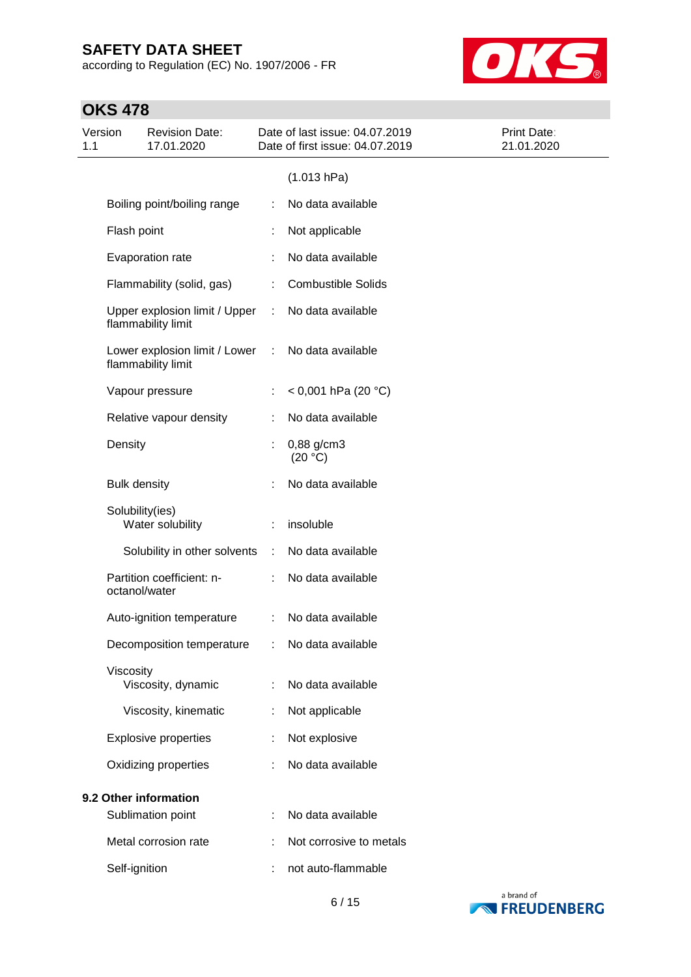according to Regulation (EC) No. 1907/2006 - FR



# **OKS 478**

| Version<br>1.1 |                     | <b>Revision Date:</b><br>17.01.2020                 |   | Date of last issue: 04.07.2019<br>Date of first issue: 04.07.2019 | Print Date:<br>21.01.2020 |
|----------------|---------------------|-----------------------------------------------------|---|-------------------------------------------------------------------|---------------------------|
|                |                     |                                                     |   | (1.013 hPa)                                                       |                           |
|                |                     | Boiling point/boiling range                         | ÷ | No data available                                                 |                           |
|                | Flash point         |                                                     |   | Not applicable                                                    |                           |
|                |                     | Evaporation rate                                    |   | No data available                                                 |                           |
|                |                     | Flammability (solid, gas)                           | ÷ | <b>Combustible Solids</b>                                         |                           |
|                |                     | Upper explosion limit / Upper<br>flammability limit | ÷ | No data available                                                 |                           |
|                |                     | Lower explosion limit / Lower<br>flammability limit | ÷ | No data available                                                 |                           |
|                |                     | Vapour pressure                                     |   | < 0,001 hPa (20 °C)                                               |                           |
|                |                     | Relative vapour density                             | ÷ | No data available                                                 |                           |
|                | Density             |                                                     | t | 0,88 g/cm3<br>(20 °C)                                             |                           |
|                | <b>Bulk density</b> |                                                     |   | No data available                                                 |                           |
|                | Solubility(ies)     | Water solubility                                    |   | insoluble                                                         |                           |
|                |                     | Solubility in other solvents                        |   | No data available                                                 |                           |
|                | octanol/water       | Partition coefficient: n-                           |   | No data available                                                 |                           |
|                |                     | Auto-ignition temperature                           |   | No data available                                                 |                           |
|                |                     | Decomposition temperature                           |   | No data available                                                 |                           |
|                | Viscosity           | Viscosity, dynamic                                  |   | No data available                                                 |                           |
|                |                     | Viscosity, kinematic                                |   | Not applicable                                                    |                           |
|                |                     | <b>Explosive properties</b>                         |   | Not explosive                                                     |                           |
|                |                     | Oxidizing properties                                |   | No data available                                                 |                           |
|                |                     | 9.2 Other information<br>Sublimation point          |   | No data available                                                 |                           |
|                |                     | Metal corrosion rate                                |   | Not corrosive to metals                                           |                           |
|                | Self-ignition       |                                                     |   | not auto-flammable                                                |                           |
|                |                     |                                                     |   |                                                                   |                           |

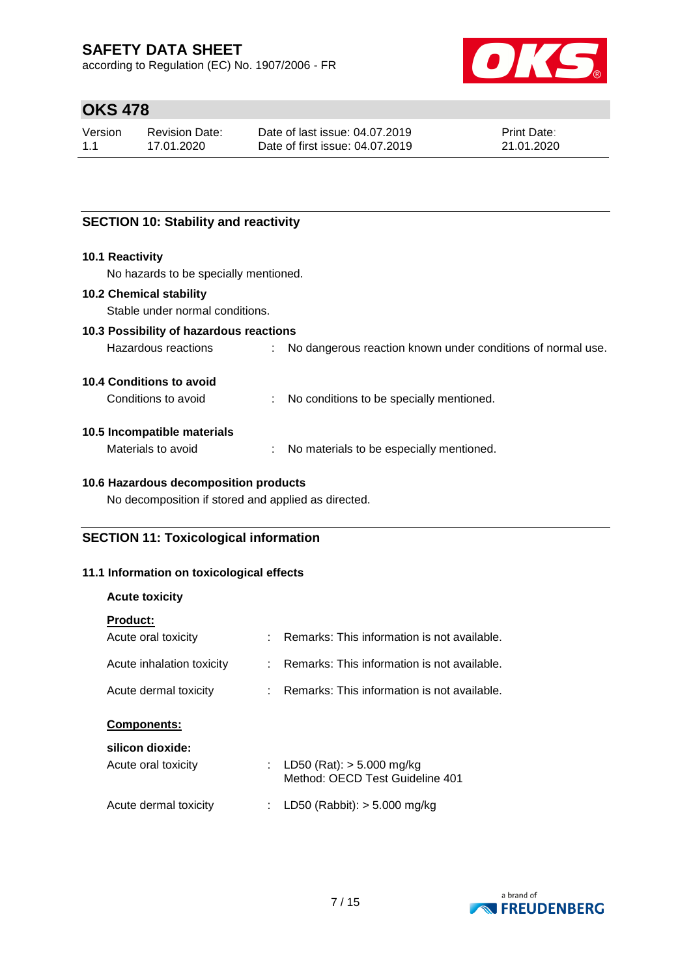according to Regulation (EC) No. 1907/2006 - FR



# **OKS 478**

| Version | Revision Date: | Date of last issue: 04.07.2019  | <b>Print Date:</b> |
|---------|----------------|---------------------------------|--------------------|
| 1.1     | 17.01.2020     | Date of first issue: 04.07.2019 | 21.01.2020         |

## **SECTION 10: Stability and reactivity**

#### **10.1 Reactivity**

No hazards to be specially mentioned.

#### **10.2 Chemical stability**

Stable under normal conditions.

### **10.3 Possibility of hazardous reactions**

| Hazardous reactions |  | No dangerous reaction known under conditions of normal use. |
|---------------------|--|-------------------------------------------------------------|
|---------------------|--|-------------------------------------------------------------|

#### **10.4 Conditions to avoid**

Conditions to avoid : No conditions to be specially mentioned.

#### **10.5 Incompatible materials**

Materials to avoid : No materials to be especially mentioned.

### **10.6 Hazardous decomposition products**

No decomposition if stored and applied as directed.

### **SECTION 11: Toxicological information**

#### **11.1 Information on toxicological effects**

#### **Acute toxicity**

| <b>Product:</b>           |                                                                |
|---------------------------|----------------------------------------------------------------|
| Acute oral toxicity       | Remarks: This information is not available.                    |
| Acute inhalation toxicity | Remarks: This information is not available.                    |
| Acute dermal toxicity     | Remarks: This information is not available.                    |
| <b>Components:</b>        |                                                                |
| silicon dioxide:          |                                                                |
| Acute oral toxicity       | LD50 (Rat): $>$ 5.000 mg/kg<br>Method: OECD Test Guideline 401 |
|                           |                                                                |

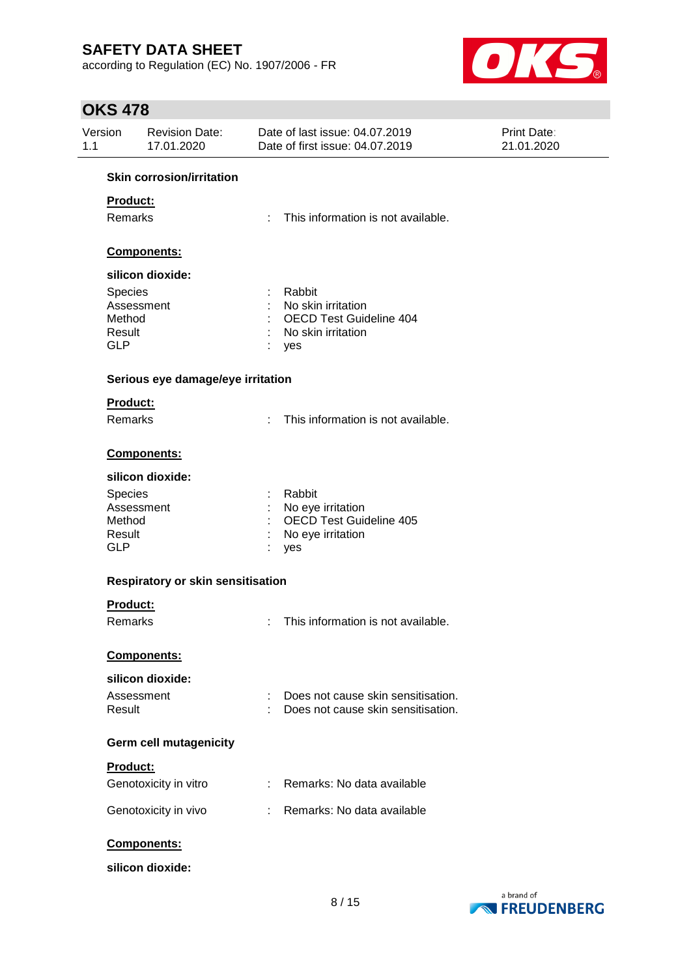according to Regulation (EC) No. 1907/2006 - FR



## **OKS 478**

| Version<br><b>Revision Date:</b><br>17.01.2020<br>1.1 |                                   | Date of last issue: 04.07.2019<br>Date of first issue: 04.07.2019 |                                    | Print Date:<br>21.01.2020 |  |
|-------------------------------------------------------|-----------------------------------|-------------------------------------------------------------------|------------------------------------|---------------------------|--|
|                                                       | <b>Skin corrosion/irritation</b>  |                                                                   |                                    |                           |  |
|                                                       | Product:                          |                                                                   |                                    |                           |  |
| Remarks                                               |                                   | This information is not available.<br>t.                          |                                    |                           |  |
|                                                       |                                   |                                                                   |                                    |                           |  |
|                                                       | Components:                       |                                                                   |                                    |                           |  |
|                                                       | silicon dioxide:                  |                                                                   |                                    |                           |  |
| Species                                               |                                   | Rabbit                                                            |                                    |                           |  |
|                                                       | Assessment                        | No skin irritation                                                |                                    |                           |  |
| Method                                                |                                   | <b>OECD Test Guideline 404</b>                                    |                                    |                           |  |
| Result                                                |                                   | No skin irritation                                                |                                    |                           |  |
| <b>GLP</b>                                            |                                   | yes                                                               |                                    |                           |  |
|                                                       | Serious eye damage/eye irritation |                                                                   |                                    |                           |  |
|                                                       | Product:                          |                                                                   |                                    |                           |  |
|                                                       | Remarks                           | This information is not available.<br>÷.                          |                                    |                           |  |
|                                                       | <b>Components:</b>                |                                                                   |                                    |                           |  |
|                                                       |                                   |                                                                   |                                    |                           |  |
|                                                       | silicon dioxide:                  |                                                                   |                                    |                           |  |
| Species                                               |                                   | Rabbit                                                            |                                    |                           |  |
|                                                       | Assessment                        | No eye irritation                                                 |                                    |                           |  |
| Method                                                |                                   | <b>OECD Test Guideline 405</b>                                    |                                    |                           |  |
| Result<br><b>GLP</b>                                  |                                   | No eye irritation                                                 |                                    |                           |  |
|                                                       |                                   | yes                                                               |                                    |                           |  |
|                                                       | Respiratory or skin sensitisation |                                                                   |                                    |                           |  |
|                                                       | Product:                          |                                                                   |                                    |                           |  |
| Remarks                                               |                                   | This information is not available.<br>÷                           |                                    |                           |  |
|                                                       |                                   |                                                                   |                                    |                           |  |
|                                                       | Components:                       |                                                                   |                                    |                           |  |
|                                                       | silicon dioxide:                  |                                                                   |                                    |                           |  |
|                                                       | Assessment                        |                                                                   | Does not cause skin sensitisation. |                           |  |
| Result                                                |                                   |                                                                   | Does not cause skin sensitisation. |                           |  |
|                                                       | <b>Germ cell mutagenicity</b>     |                                                                   |                                    |                           |  |
|                                                       | Product:                          |                                                                   |                                    |                           |  |
|                                                       | Genotoxicity in vitro             | : Remarks: No data available                                      |                                    |                           |  |
|                                                       | Genotoxicity in vivo              | : Remarks: No data available                                      |                                    |                           |  |
|                                                       | Components:                       |                                                                   |                                    |                           |  |
|                                                       | silicon dioxide:                  |                                                                   |                                    |                           |  |

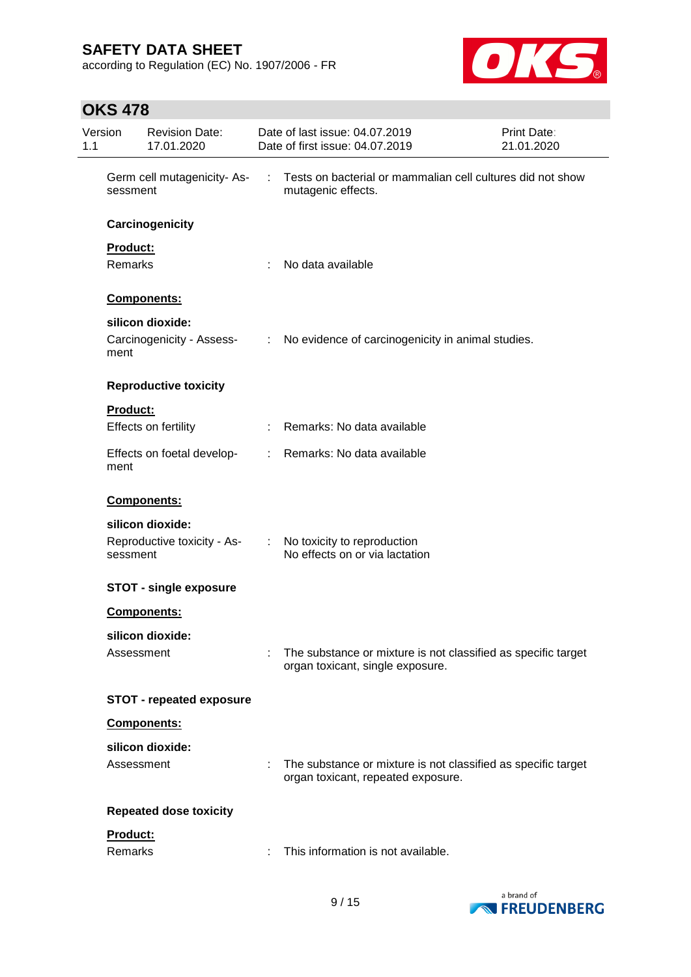according to Regulation (EC) No. 1907/2006 - FR



# **OKS 478**

| Version<br>1.1 |                                        | <b>Revision Date:</b><br>17.01.2020 |   | Date of last issue: 04.07.2019<br>Date of first issue: 04.07.2019                                   | Print Date:<br>21.01.2020                                  |  |  |
|----------------|----------------------------------------|-------------------------------------|---|-----------------------------------------------------------------------------------------------------|------------------------------------------------------------|--|--|
|                | Germ cell mutagenicity-As-<br>sessment |                                     | ÷ | mutagenic effects.                                                                                  | Tests on bacterial or mammalian cell cultures did not show |  |  |
|                |                                        | Carcinogenicity                     |   |                                                                                                     |                                                            |  |  |
|                | Product:                               |                                     |   |                                                                                                     |                                                            |  |  |
|                | Remarks                                |                                     | ÷ | No data available                                                                                   |                                                            |  |  |
|                |                                        | Components:                         |   |                                                                                                     |                                                            |  |  |
|                |                                        | silicon dioxide:                    |   |                                                                                                     |                                                            |  |  |
|                | ment                                   | Carcinogenicity - Assess-           |   | : No evidence of carcinogenicity in animal studies.                                                 |                                                            |  |  |
|                |                                        | <b>Reproductive toxicity</b>        |   |                                                                                                     |                                                            |  |  |
|                | Product:                               |                                     |   |                                                                                                     |                                                            |  |  |
|                |                                        | Effects on fertility                |   | Remarks: No data available                                                                          |                                                            |  |  |
|                | ment                                   | Effects on foetal develop-          |   | : Remarks: No data available                                                                        |                                                            |  |  |
|                |                                        | Components:                         |   |                                                                                                     |                                                            |  |  |
|                |                                        | silicon dioxide:                    |   |                                                                                                     |                                                            |  |  |
|                | sessment                               | Reproductive toxicity - As-         |   | : No toxicity to reproduction<br>No effects on or via lactation                                     |                                                            |  |  |
|                |                                        | <b>STOT - single exposure</b>       |   |                                                                                                     |                                                            |  |  |
|                |                                        | Components:                         |   |                                                                                                     |                                                            |  |  |
|                |                                        | silicon dioxide:                    |   |                                                                                                     |                                                            |  |  |
|                | Assessment                             |                                     |   | The substance or mixture is not classified as specific target<br>organ toxicant, single exposure.   |                                                            |  |  |
|                |                                        | <b>STOT - repeated exposure</b>     |   |                                                                                                     |                                                            |  |  |
|                |                                        | Components:                         |   |                                                                                                     |                                                            |  |  |
|                |                                        | silicon dioxide:                    |   |                                                                                                     |                                                            |  |  |
|                | Assessment                             |                                     |   | The substance or mixture is not classified as specific target<br>organ toxicant, repeated exposure. |                                                            |  |  |
|                |                                        | <b>Repeated dose toxicity</b>       |   |                                                                                                     |                                                            |  |  |
|                | Product:                               |                                     |   |                                                                                                     |                                                            |  |  |
|                | Remarks                                |                                     |   | This information is not available.                                                                  |                                                            |  |  |

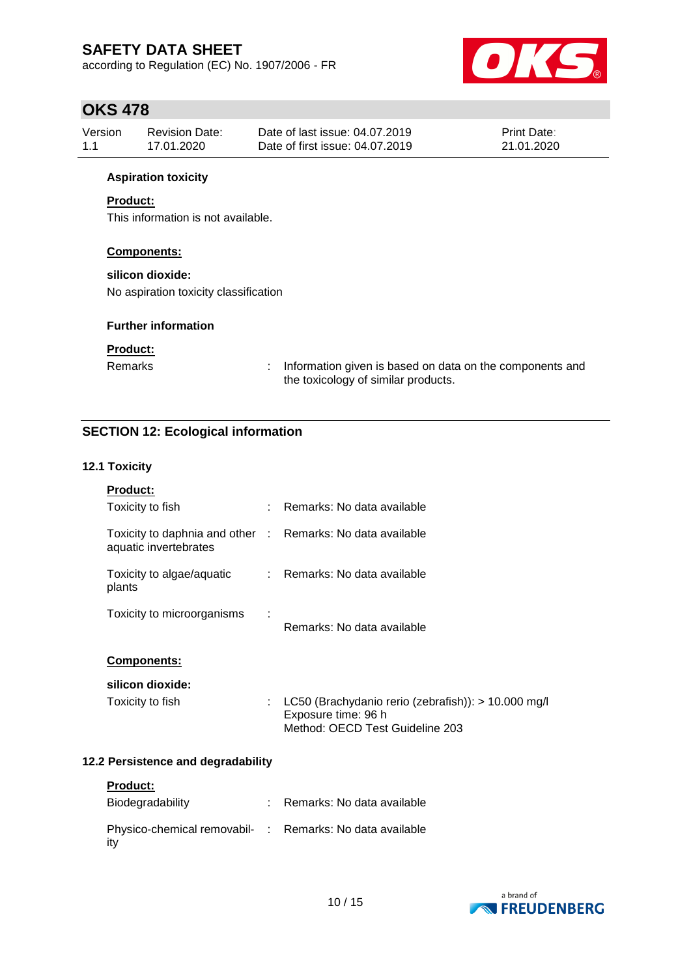according to Regulation (EC) No. 1907/2006 - FR



## **OKS 478**

| Version | Revision Date: | Date of last issue: 04.07.2019  | <b>Print Date:</b> |
|---------|----------------|---------------------------------|--------------------|
| 1.1     | 17.01.2020     | Date of first issue: 04.07.2019 | 21.01.2020         |

#### **Aspiration toxicity**

### **Product:**

This information is not available.

#### **Components:**

### **silicon dioxide:**

No aspiration toxicity classification

#### **Further information**

### **Product:**

Remarks : Information given is based on data on the components and the toxicology of similar products.

## **SECTION 12: Ecological information**

#### **12.1 Toxicity**

| <b>Product:</b>                                                                     |   |                                                                                                               |
|-------------------------------------------------------------------------------------|---|---------------------------------------------------------------------------------------------------------------|
| Toxicity to fish                                                                    |   | : Remarks: No data available                                                                                  |
| Toxicity to daphnia and other : Remarks: No data available<br>aquatic invertebrates |   |                                                                                                               |
| Toxicity to algae/aquatic<br>plants                                                 |   | : Remarks: No data available                                                                                  |
| Toxicity to microorganisms                                                          | ÷ | Remarks: No data available                                                                                    |
| <b>Components:</b>                                                                  |   |                                                                                                               |
| silicon dioxide:                                                                    |   |                                                                                                               |
| Toxicity to fish                                                                    |   | LC50 (Brachydanio rerio (zebrafish)): > 10.000 mg/l<br>Exposure time: 96 h<br>Method: OECD Test Guideline 203 |

### **12.2 Persistence and degradability**

| <b>Product:</b>                                                 |                            |
|-----------------------------------------------------------------|----------------------------|
| Biodegradability                                                | Remarks: No data available |
| Physico-chemical removabil- : Remarks: No data available<br>ity |                            |

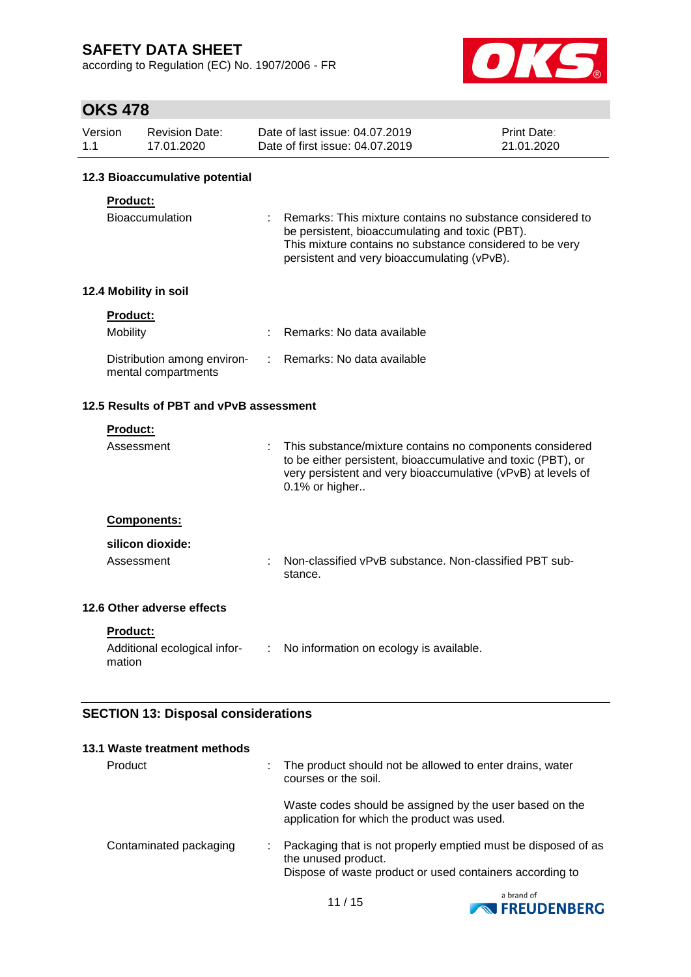according to Regulation (EC) No. 1907/2006 - FR



## **OKS 478**

| Version | Revision Date: | Date of last issue: 04.07.2019  | <b>Print Date:</b> |
|---------|----------------|---------------------------------|--------------------|
| 1.1     | 17.01.2020     | Date of first issue: 04.07.2019 | 21.01.2020         |

#### **12.3 Bioaccumulative potential**

#### **Product:**

| Bioaccumulation | : Remarks: This mixture contains no substance considered to |
|-----------------|-------------------------------------------------------------|
|                 | be persistent, bioaccumulating and toxic (PBT).             |
|                 | This mixture contains no substance considered to be very    |
|                 | persistent and very bioaccumulating (vPvB).                 |

## **12.4 Mobility in soil**

| <b>Product:</b>                                    |                              |
|----------------------------------------------------|------------------------------|
| <b>Mobility</b>                                    | : Remarks: No data available |
| Distribution among environ-<br>mental compartments | : Remarks: No data available |

### **12.5 Results of PBT and vPvB assessment**

#### **Product:**

| Assessment         | : This substance/mixture contains no components considered<br>to be either persistent, bioaccumulative and toxic (PBT), or<br>very persistent and very bioaccumulative (vPvB) at levels of<br>0.1% or higher |
|--------------------|--------------------------------------------------------------------------------------------------------------------------------------------------------------------------------------------------------------|
| <b>Components:</b> |                                                                                                                                                                                                              |
| silicon dioxide:   |                                                                                                                                                                                                              |
| Assessment         | Non-classified vPvB substance. Non-classified PBT sub-<br>stance.                                                                                                                                            |

## **12.6 Other adverse effects**

**Product:**

| Additional ecological infor- | No information on ecology is available. |
|------------------------------|-----------------------------------------|
| mation                       |                                         |

### **SECTION 13: Disposal considerations**

| 13.1 Waste treatment methods |                                                                                                                                                  |
|------------------------------|--------------------------------------------------------------------------------------------------------------------------------------------------|
| Product                      | The product should not be allowed to enter drains, water<br>courses or the soil.                                                                 |
|                              | Waste codes should be assigned by the user based on the<br>application for which the product was used.                                           |
| Contaminated packaging       | Packaging that is not properly emptied must be disposed of as<br>the unused product.<br>Dispose of waste product or used containers according to |

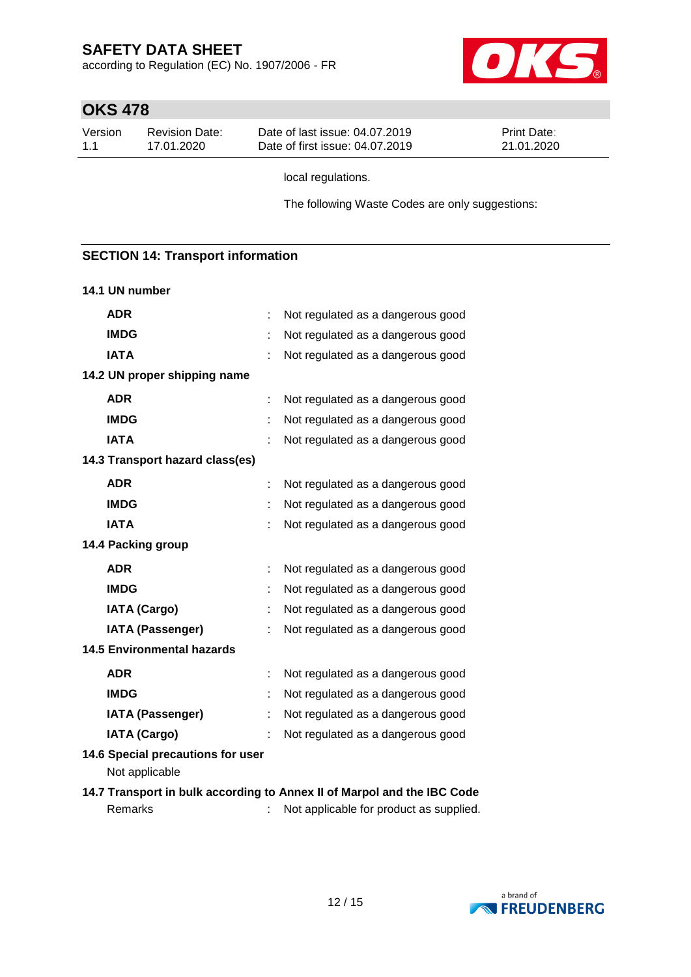according to Regulation (EC) No. 1907/2006 - FR



# **OKS 478**

| Version | Revision Date: | Date of last issue: 04.07.2019  | <b>Print Date:</b> |
|---------|----------------|---------------------------------|--------------------|
| 1.1     | 17.01.2020     | Date of first issue: 04.07.2019 | 21.01.2020         |

local regulations.

The following Waste Codes are only suggestions:

## **SECTION 14: Transport information**

#### **14.1 UN number**

| <b>ADR</b>                                          |   | Not regulated as a dangerous good                                       |
|-----------------------------------------------------|---|-------------------------------------------------------------------------|
| <b>IMDG</b>                                         |   | Not regulated as a dangerous good                                       |
| <b>IATA</b>                                         |   | Not regulated as a dangerous good                                       |
| 14.2 UN proper shipping name                        |   |                                                                         |
| <b>ADR</b>                                          | ÷ | Not regulated as a dangerous good                                       |
| <b>IMDG</b>                                         |   | Not regulated as a dangerous good                                       |
| <b>IATA</b>                                         |   | Not regulated as a dangerous good                                       |
| 14.3 Transport hazard class(es)                     |   |                                                                         |
| <b>ADR</b>                                          |   | Not regulated as a dangerous good                                       |
| <b>IMDG</b>                                         |   | Not regulated as a dangerous good                                       |
| <b>IATA</b>                                         |   | Not regulated as a dangerous good                                       |
| 14.4 Packing group                                  |   |                                                                         |
| <b>ADR</b>                                          |   | Not regulated as a dangerous good                                       |
| <b>IMDG</b>                                         |   | Not regulated as a dangerous good                                       |
| <b>IATA (Cargo)</b>                                 |   | Not regulated as a dangerous good                                       |
| <b>IATA (Passenger)</b>                             |   | Not regulated as a dangerous good                                       |
| <b>14.5 Environmental hazards</b>                   |   |                                                                         |
| <b>ADR</b>                                          |   | Not regulated as a dangerous good                                       |
| <b>IMDG</b>                                         |   | Not regulated as a dangerous good                                       |
| <b>IATA (Passenger)</b>                             |   | Not regulated as a dangerous good                                       |
| <b>IATA (Cargo)</b>                                 |   | Not regulated as a dangerous good                                       |
| 14.6 Special precautions for user<br>Not applicable |   |                                                                         |
|                                                     |   | 14.7 Transport in bulk according to Annex II of Marpol and the IBC Code |

Remarks : Not applicable for product as supplied.

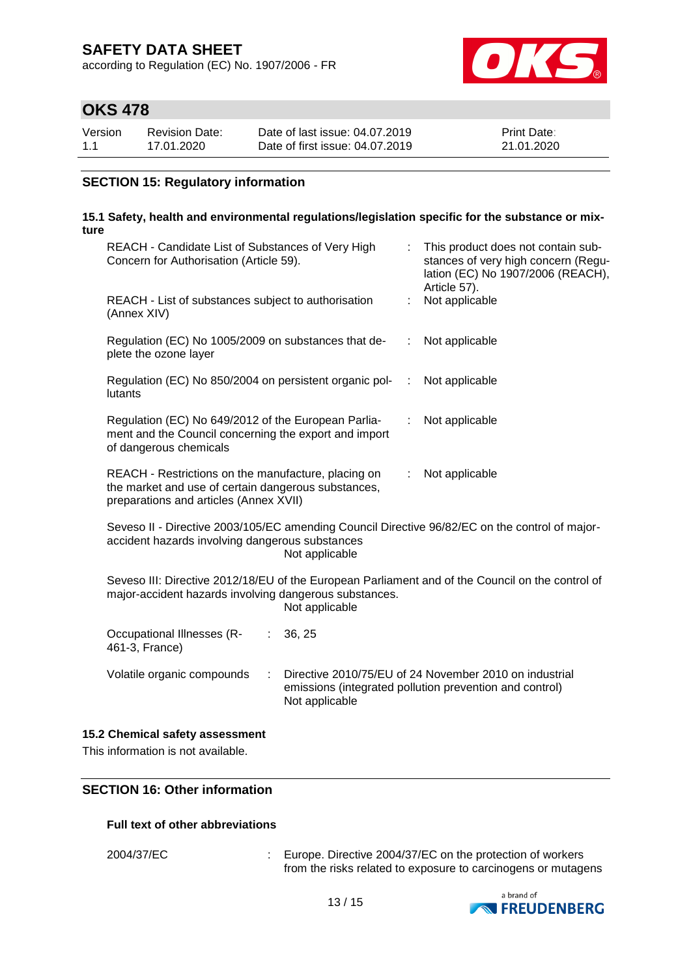according to Regulation (EC) No. 1907/2006 - FR



## **OKS 478**

| Version | Revision Date: | Date of last issue: 04.07.2019  | <b>Print Date:</b> |
|---------|----------------|---------------------------------|--------------------|
| 1.1     | 17.01.2020     | Date of first issue: 04.07.2019 | 21.01.2020         |

### **SECTION 15: Regulatory information**

#### **15.1 Safety, health and environmental regulations/legislation specific for the substance or mixture**

| REACH - Candidate List of Substances of Very High<br>Concern for Authorisation (Article 59).                                                                                 | This product does not contain sub-<br>t.<br>stances of very high concern (Regu-<br>lation (EC) No 1907/2006 (REACH),<br>Article 57). |  |  |  |  |  |  |
|------------------------------------------------------------------------------------------------------------------------------------------------------------------------------|--------------------------------------------------------------------------------------------------------------------------------------|--|--|--|--|--|--|
| REACH - List of substances subject to authorisation<br>(Annex XIV)                                                                                                           | Not applicable<br>÷                                                                                                                  |  |  |  |  |  |  |
| Regulation (EC) No 1005/2009 on substances that de-<br>plete the ozone layer                                                                                                 | Not applicable<br>÷                                                                                                                  |  |  |  |  |  |  |
| Regulation (EC) No 850/2004 on persistent organic pol-<br>lutants                                                                                                            | Not applicable<br>÷                                                                                                                  |  |  |  |  |  |  |
| Regulation (EC) No 649/2012 of the European Parlia-<br>ment and the Council concerning the export and import<br>of dangerous chemicals                                       | Not applicable                                                                                                                       |  |  |  |  |  |  |
| REACH - Restrictions on the manufacture, placing on<br>the market and use of certain dangerous substances,<br>preparations and articles (Annex XVII)                         | Not applicable<br>÷                                                                                                                  |  |  |  |  |  |  |
| Seveso II - Directive 2003/105/EC amending Council Directive 96/82/EC on the control of major-<br>accident hazards involving dangerous substances<br>Not applicable          |                                                                                                                                      |  |  |  |  |  |  |
| Seveso III: Directive 2012/18/EU of the European Parliament and of the Council on the control of<br>major-accident hazards involving dangerous substances.<br>Not applicable |                                                                                                                                      |  |  |  |  |  |  |
| Occupational Illnesses (R-<br>36, 25<br>461-3, France)                                                                                                                       |                                                                                                                                      |  |  |  |  |  |  |
| Volatile organic compounds<br>÷                                                                                                                                              | Directive 2010/75/EU of 24 November 2010 on industrial<br>emissions (integrated pollution prevention and control)                    |  |  |  |  |  |  |

#### **15.2 Chemical safety assessment**

This information is not available.

#### **SECTION 16: Other information**

#### **Full text of other abbreviations**

2004/37/EC : Europe. Directive 2004/37/EC on the protection of workers from the risks related to exposure to carcinogens or mutagens



Not applicable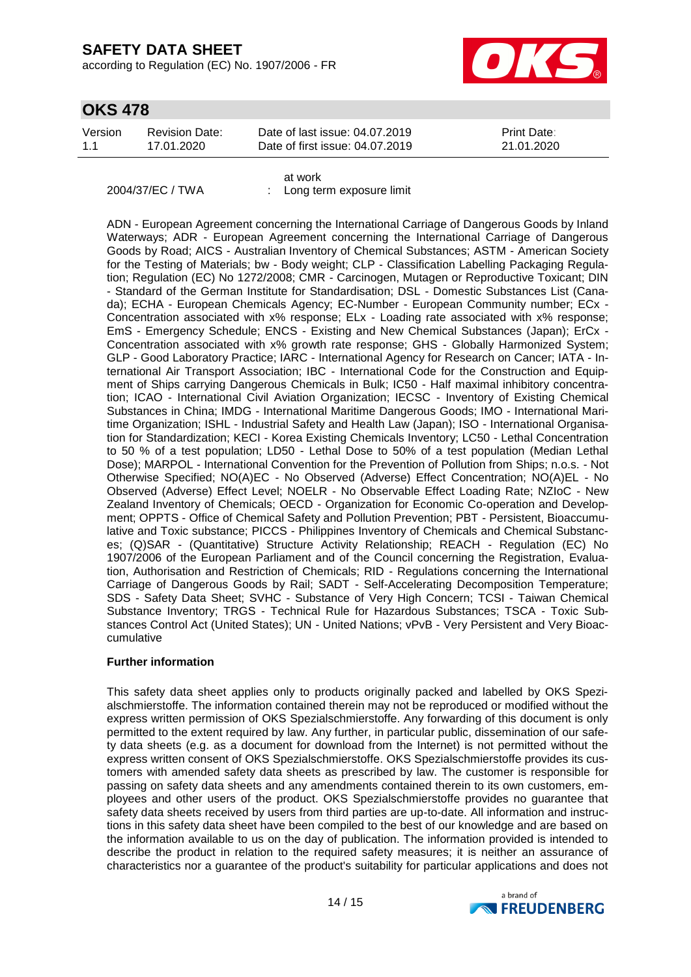according to Regulation (EC) No. 1907/2006 - FR



## **OKS 478**

| Version<br>Date of last issue: 04.07.2019<br><b>Print Date:</b><br>Revision Date:<br>Date of first issue: 04.07.2019<br>1.1<br>21.01.2020<br>17.01.2020 |  |  |  |  |
|---------------------------------------------------------------------------------------------------------------------------------------------------------|--|--|--|--|
|---------------------------------------------------------------------------------------------------------------------------------------------------------|--|--|--|--|

at work 2004/37/EC / TWA : Long term exposure limit

ADN - European Agreement concerning the International Carriage of Dangerous Goods by Inland Waterways; ADR - European Agreement concerning the International Carriage of Dangerous Goods by Road; AICS - Australian Inventory of Chemical Substances; ASTM - American Society for the Testing of Materials; bw - Body weight; CLP - Classification Labelling Packaging Regulation; Regulation (EC) No 1272/2008; CMR - Carcinogen, Mutagen or Reproductive Toxicant; DIN - Standard of the German Institute for Standardisation; DSL - Domestic Substances List (Canada); ECHA - European Chemicals Agency; EC-Number - European Community number; ECx - Concentration associated with x% response; ELx - Loading rate associated with x% response; EmS - Emergency Schedule; ENCS - Existing and New Chemical Substances (Japan); ErCx - Concentration associated with x% growth rate response; GHS - Globally Harmonized System; GLP - Good Laboratory Practice; IARC - International Agency for Research on Cancer; IATA - International Air Transport Association; IBC - International Code for the Construction and Equipment of Ships carrying Dangerous Chemicals in Bulk; IC50 - Half maximal inhibitory concentration; ICAO - International Civil Aviation Organization; IECSC - Inventory of Existing Chemical Substances in China; IMDG - International Maritime Dangerous Goods; IMO - International Maritime Organization; ISHL - Industrial Safety and Health Law (Japan); ISO - International Organisation for Standardization; KECI - Korea Existing Chemicals Inventory; LC50 - Lethal Concentration to 50 % of a test population; LD50 - Lethal Dose to 50% of a test population (Median Lethal Dose); MARPOL - International Convention for the Prevention of Pollution from Ships; n.o.s. - Not Otherwise Specified; NO(A)EC - No Observed (Adverse) Effect Concentration; NO(A)EL - No Observed (Adverse) Effect Level; NOELR - No Observable Effect Loading Rate; NZIoC - New Zealand Inventory of Chemicals; OECD - Organization for Economic Co-operation and Development; OPPTS - Office of Chemical Safety and Pollution Prevention; PBT - Persistent, Bioaccumulative and Toxic substance; PICCS - Philippines Inventory of Chemicals and Chemical Substances; (Q)SAR - (Quantitative) Structure Activity Relationship; REACH - Regulation (EC) No 1907/2006 of the European Parliament and of the Council concerning the Registration, Evaluation, Authorisation and Restriction of Chemicals; RID - Regulations concerning the International Carriage of Dangerous Goods by Rail; SADT - Self-Accelerating Decomposition Temperature; SDS - Safety Data Sheet; SVHC - Substance of Very High Concern; TCSI - Taiwan Chemical Substance Inventory; TRGS - Technical Rule for Hazardous Substances; TSCA - Toxic Substances Control Act (United States); UN - United Nations; vPvB - Very Persistent and Very Bioaccumulative

#### **Further information**

This safety data sheet applies only to products originally packed and labelled by OKS Spezialschmierstoffe. The information contained therein may not be reproduced or modified without the express written permission of OKS Spezialschmierstoffe. Any forwarding of this document is only permitted to the extent required by law. Any further, in particular public, dissemination of our safety data sheets (e.g. as a document for download from the Internet) is not permitted without the express written consent of OKS Spezialschmierstoffe. OKS Spezialschmierstoffe provides its customers with amended safety data sheets as prescribed by law. The customer is responsible for passing on safety data sheets and any amendments contained therein to its own customers, employees and other users of the product. OKS Spezialschmierstoffe provides no guarantee that safety data sheets received by users from third parties are up-to-date. All information and instructions in this safety data sheet have been compiled to the best of our knowledge and are based on the information available to us on the day of publication. The information provided is intended to describe the product in relation to the required safety measures; it is neither an assurance of characteristics nor a guarantee of the product's suitability for particular applications and does not